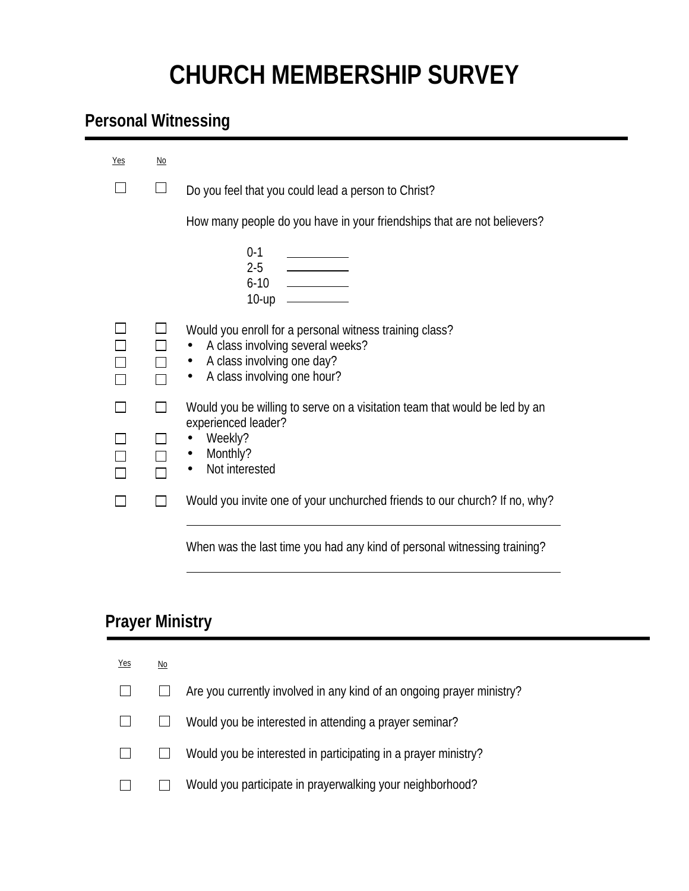## **CHURCH MEMBERSHIP SURVEY**

## **Personal Witnessing**

| Yes | No |                                                                                                                                                                   |
|-----|----|-------------------------------------------------------------------------------------------------------------------------------------------------------------------|
|     |    | Do you feel that you could lead a person to Christ?                                                                                                               |
|     |    | How many people do you have in your friendships that are not believers?                                                                                           |
|     |    | $0-1$<br>$2-5$ $\qquad$<br>$6-10$ $\qquad \qquad \qquad$<br>10-up                                                                                                 |
|     |    | Would you enroll for a personal witness training class?<br>• A class involving several weeks?<br>• A class involving one day?<br>A class involving one hour?<br>٠ |
|     |    | Would you be willing to serve on a visitation team that would be led by an                                                                                        |
|     |    | experienced leader?<br>Weekly?<br>• Monthly?<br>Not interested                                                                                                    |
|     |    | Would you invite one of your unchurched friends to our church? If no, why?                                                                                        |
|     |    |                                                                                                                                                                   |

When was the last time you had any kind of personal witnessing training?

## **Prayer Ministry**

| <u>Yes</u> | $\underline{\mathsf{No}}$ |                                                                       |
|------------|---------------------------|-----------------------------------------------------------------------|
|            |                           | Are you currently involved in any kind of an ongoing prayer ministry? |
|            |                           | Would you be interested in attending a prayer seminar?                |
|            |                           | Would you be interested in participating in a prayer ministry?        |
|            |                           | Would you participate in prayerwalking your neighborhood?             |